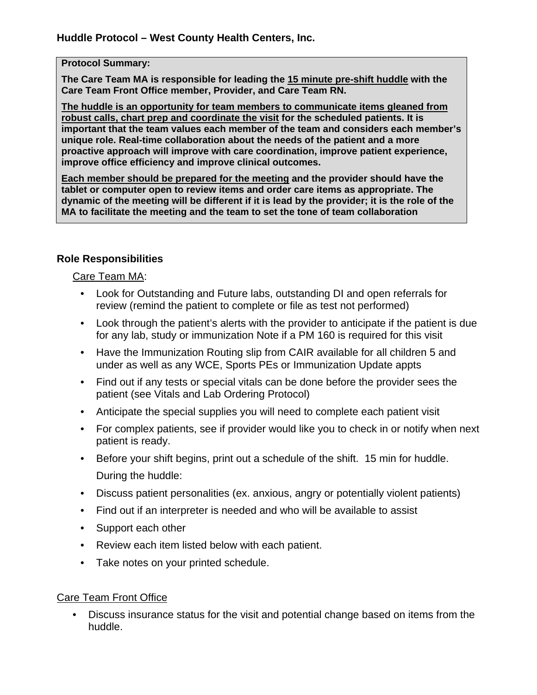#### **Protocol Summary:**

**The Care Team MA is responsible for leading the 15 minute pre-shift huddle with the Care Team Front Office member, Provider, and Care Team RN.** 

**The huddle is an opportunity for team members to communicate items gleaned from robust calls, chart prep and coordinate the visit for the scheduled patients. It is important that the team values each member of the team and considers each member's unique role. Real-time collaboration about the needs of the patient and a more proactive approach will improve with care coordination, improve patient experience, improve office efficiency and improve clinical outcomes.** 

**Each member should be prepared for the meeting and the provider should have the tablet or computer open to review items and order care items as appropriate. The dynamic of the meeting will be different if it is lead by the provider; it is the role of the MA to facilitate the meeting and the team to set the tone of team collaboration**

## **Role Responsibilities**

### Care Team MA:

- Look for Outstanding and Future labs, outstanding DI and open referrals for review (remind the patient to complete or file as test not performed)
- Look through the patient's alerts with the provider to anticipate if the patient is due for any lab, study or immunization Note if a PM 160 is required for this visit
- Have the Immunization Routing slip from CAIR available for all children 5 and under as well as any WCE, Sports PEs or Immunization Update appts
- Find out if any tests or special vitals can be done before the provider sees the patient (see Vitals and Lab Ordering Protocol)
- Anticipate the special supplies you will need to complete each patient visit
- For complex patients, see if provider would like you to check in or notify when next patient is ready.
- Before your shift begins, print out a schedule of the shift. 15 min for huddle. During the huddle:
- Discuss patient personalities (ex. anxious, angry or potentially violent patients)
- Find out if an interpreter is needed and who will be available to assist
- Support each other
- Review each item listed below with each patient.
- Take notes on your printed schedule.

### Care Team Front Office

• Discuss insurance status for the visit and potential change based on items from the huddle.